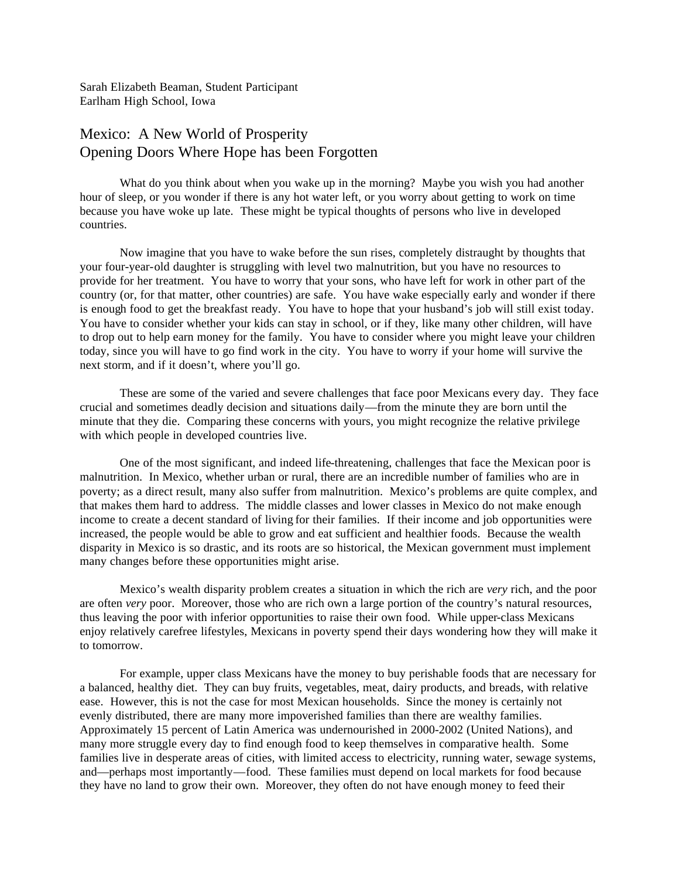Sarah Elizabeth Beaman, Student Participant Earlham High School, Iowa

## Mexico: A New World of Prosperity Opening Doors Where Hope has been Forgotten

What do you think about when you wake up in the morning? Maybe you wish you had another hour of sleep, or you wonder if there is any hot water left, or you worry about getting to work on time because you have woke up late. These might be typical thoughts of persons who live in developed countries.

Now imagine that you have to wake before the sun rises, completely distraught by thoughts that your four-year-old daughter is struggling with level two malnutrition, but you have no resources to provide for her treatment. You have to worry that your sons, who have left for work in other part of the country (or, for that matter, other countries) are safe. You have wake especially early and wonder if there is enough food to get the breakfast ready. You have to hope that your husband's job will still exist today. You have to consider whether your kids can stay in school, or if they, like many other children, will have to drop out to help earn money for the family. You have to consider where you might leave your children today, since you will have to go find work in the city. You have to worry if your home will survive the next storm, and if it doesn't, where you'll go.

These are some of the varied and severe challenges that face poor Mexicans every day. They face crucial and sometimes deadly decision and situations daily—from the minute they are born until the minute that they die. Comparing these concerns with yours, you might recognize the relative privilege with which people in developed countries live.

One of the most significant, and indeed life-threatening, challenges that face the Mexican poor is malnutrition. In Mexico, whether urban or rural, there are an incredible number of families who are in poverty; as a direct result, many also suffer from malnutrition. Mexico's problems are quite complex, and that makes them hard to address. The middle classes and lower classes in Mexico do not make enough income to create a decent standard of living for their families. If their income and job opportunities were increased, the people would be able to grow and eat sufficient and healthier foods. Because the wealth disparity in Mexico is so drastic, and its roots are so historical, the Mexican government must implement many changes before these opportunities might arise.

Mexico's wealth disparity problem creates a situation in which the rich are *very* rich, and the poor are often *very* poor. Moreover, those who are rich own a large portion of the country's natural resources, thus leaving the poor with inferior opportunities to raise their own food. While upper-class Mexicans enjoy relatively carefree lifestyles, Mexicans in poverty spend their days wondering how they will make it to tomorrow.

For example, upper class Mexicans have the money to buy perishable foods that are necessary for a balanced, healthy diet. They can buy fruits, vegetables, meat, dairy products, and breads, with relative ease. However, this is not the case for most Mexican households. Since the money is certainly not evenly distributed, there are many more impoverished families than there are wealthy families. Approximately 15 percent of Latin America was undernourished in 2000-2002 (United Nations), and many more struggle every day to find enough food to keep themselves in comparative health. Some families live in desperate areas of cities, with limited access to electricity, running water, sewage systems, and—perhaps most importantly—food. These families must depend on local markets for food because they have no land to grow their own. Moreover, they often do not have enough money to feed their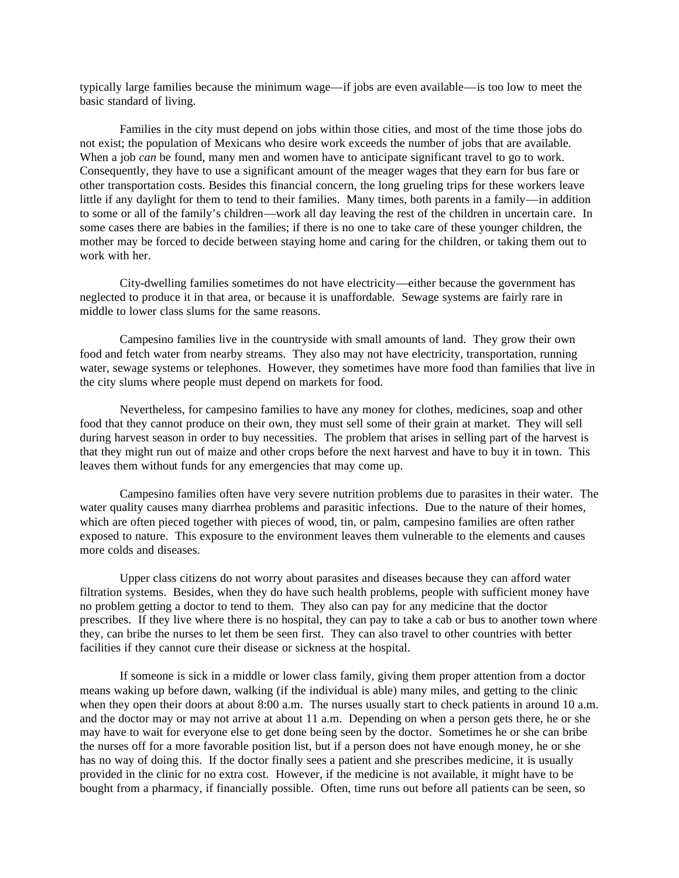typically large families because the minimum wage—if jobs are even available—is too low to meet the basic standard of living.

Families in the city must depend on jobs within those cities, and most of the time those jobs do not exist; the population of Mexicans who desire work exceeds the number of jobs that are available. When a job *can* be found, many men and women have to anticipate significant travel to go to work. Consequently, they have to use a significant amount of the meager wages that they earn for bus fare or other transportation costs. Besides this financial concern, the long grueling trips for these workers leave little if any daylight for them to tend to their families. Many times, both parents in a family—in addition to some or all of the family's children—work all day leaving the rest of the children in uncertain care. In some cases there are babies in the families; if there is no one to take care of these younger children, the mother may be forced to decide between staying home and caring for the children, or taking them out to work with her.

City-dwelling families sometimes do not have electricity—either because the government has neglected to produce it in that area, or because it is unaffordable. Sewage systems are fairly rare in middle to lower class slums for the same reasons.

Campesino families live in the countryside with small amounts of land. They grow their own food and fetch water from nearby streams. They also may not have electricity, transportation, running water, sewage systems or telephones. However, they sometimes have more food than families that live in the city slums where people must depend on markets for food.

Nevertheless, for campesino families to have any money for clothes, medicines, soap and other food that they cannot produce on their own, they must sell some of their grain at market. They will sell during harvest season in order to buy necessities. The problem that arises in selling part of the harvest is that they might run out of maize and other crops before the next harvest and have to buy it in town. This leaves them without funds for any emergencies that may come up.

Campesino families often have very severe nutrition problems due to parasites in their water. The water quality causes many diarrhea problems and parasitic infections. Due to the nature of their homes, which are often pieced together with pieces of wood, tin, or palm, campesino families are often rather exposed to nature. This exposure to the environment leaves them vulnerable to the elements and causes more colds and diseases.

Upper class citizens do not worry about parasites and diseases because they can afford water filtration systems. Besides, when they do have such health problems, people with sufficient money have no problem getting a doctor to tend to them. They also can pay for any medicine that the doctor prescribes. If they live where there is no hospital, they can pay to take a cab or bus to another town where they, can bribe the nurses to let them be seen first. They can also travel to other countries with better facilities if they cannot cure their disease or sickness at the hospital.

If someone is sick in a middle or lower class family, giving them proper attention from a doctor means waking up before dawn, walking (if the individual is able) many miles, and getting to the clinic when they open their doors at about 8:00 a.m. The nurses usually start to check patients in around 10 a.m. and the doctor may or may not arrive at about 11 a.m. Depending on when a person gets there, he or she may have to wait for everyone else to get done being seen by the doctor. Sometimes he or she can bribe the nurses off for a more favorable position list, but if a person does not have enough money, he or she has no way of doing this. If the doctor finally sees a patient and she prescribes medicine, it is usually provided in the clinic for no extra cost. However, if the medicine is not available, it might have to be bought from a pharmacy, if financially possible. Often, time runs out before all patients can be seen, so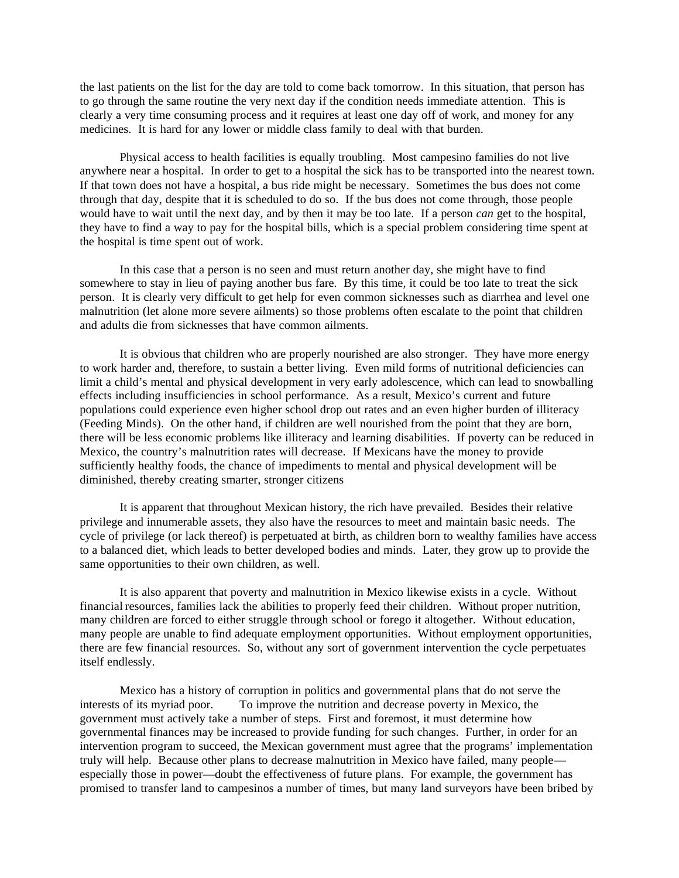the last patients on the list for the day are told to come back tomorrow. In this situation, that person has to go through the same routine the very next day if the condition needs immediate attention. This is clearly a very time consuming process and it requires at least one day off of work, and money for any medicines. It is hard for any lower or middle class family to deal with that burden.

Physical access to health facilities is equally troubling. Most campesino families do not live anywhere near a hospital. In order to get to a hospital the sick has to be transported into the nearest town. If that town does not have a hospital, a bus ride might be necessary. Sometimes the bus does not come through that day, despite that it is scheduled to do so. If the bus does not come through, those people would have to wait until the next day, and by then it may be too late. If a person *can* get to the hospital, they have to find a way to pay for the hospital bills, which is a special problem considering time spent at the hospital is time spent out of work.

In this case that a person is no seen and must return another day, she might have to find somewhere to stay in lieu of paying another bus fare. By this time, it could be too late to treat the sick person. It is clearly very difficult to get help for even common sicknesses such as diarrhea and level one malnutrition (let alone more severe ailments) so those problems often escalate to the point that children and adults die from sicknesses that have common ailments.

It is obvious that children who are properly nourished are also stronger. They have more energy to work harder and, therefore, to sustain a better living. Even mild forms of nutritional deficiencies can limit a child's mental and physical development in very early adolescence, which can lead to snowballing effects including insufficiencies in school performance. As a result, Mexico's current and future populations could experience even higher school drop out rates and an even higher burden of illiteracy (Feeding Minds). On the other hand, if children are well nourished from the point that they are born, there will be less economic problems like illiteracy and learning disabilities. If poverty can be reduced in Mexico, the country's malnutrition rates will decrease. If Mexicans have the money to provide sufficiently healthy foods, the chance of impediments to mental and physical development will be diminished, thereby creating smarter, stronger citizens

It is apparent that throughout Mexican history, the rich have prevailed. Besides their relative privilege and innumerable assets, they also have the resources to meet and maintain basic needs. The cycle of privilege (or lack thereof) is perpetuated at birth, as children born to wealthy families have access to a balanced diet, which leads to better developed bodies and minds. Later, they grow up to provide the same opportunities to their own children, as well.

It is also apparent that poverty and malnutrition in Mexico likewise exists in a cycle. Without financial resources, families lack the abilities to properly feed their children. Without proper nutrition, many children are forced to either struggle through school or forego it altogether. Without education, many people are unable to find adequate employment opportunities. Without employment opportunities, there are few financial resources. So, without any sort of government intervention the cycle perpetuates itself endlessly.

Mexico has a history of corruption in politics and governmental plans that do not serve the interests of its myriad poor. To improve the nutrition and decrease poverty in Mexico, the government must actively take a number of steps. First and foremost, it must determine how governmental finances may be increased to provide funding for such changes. Further, in order for an intervention program to succeed, the Mexican government must agree that the programs' implementation truly will help. Because other plans to decrease malnutrition in Mexico have failed, many people especially those in power—doubt the effectiveness of future plans. For example, the government has promised to transfer land to campesinos a number of times, but many land surveyors have been bribed by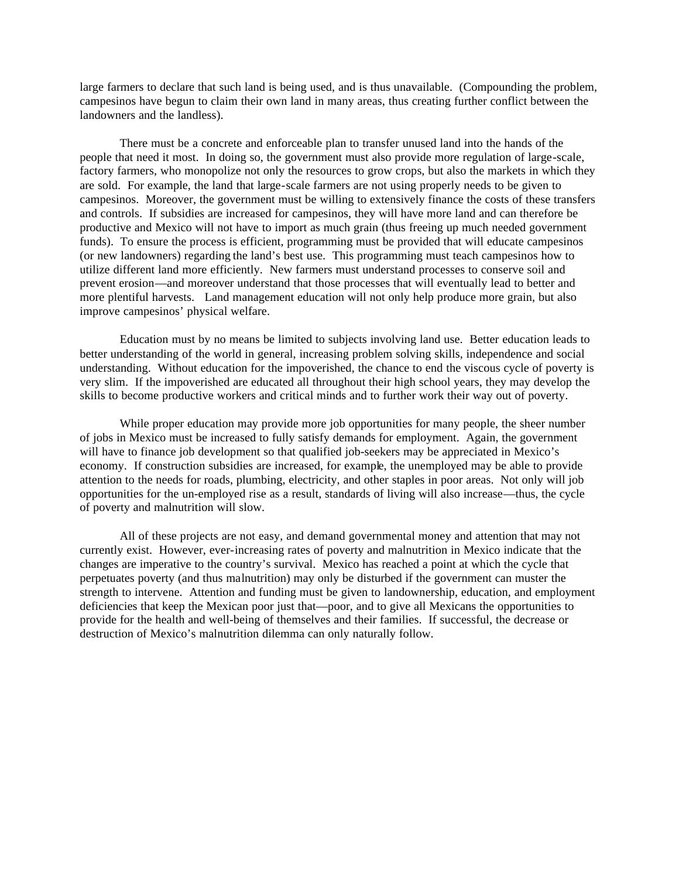large farmers to declare that such land is being used, and is thus unavailable. (Compounding the problem, campesinos have begun to claim their own land in many areas, thus creating further conflict between the landowners and the landless).

There must be a concrete and enforceable plan to transfer unused land into the hands of the people that need it most. In doing so, the government must also provide more regulation of large-scale, factory farmers, who monopolize not only the resources to grow crops, but also the markets in which they are sold. For example, the land that large-scale farmers are not using properly needs to be given to campesinos. Moreover, the government must be willing to extensively finance the costs of these transfers and controls. If subsidies are increased for campesinos, they will have more land and can therefore be productive and Mexico will not have to import as much grain (thus freeing up much needed government funds). To ensure the process is efficient, programming must be provided that will educate campesinos (or new landowners) regarding the land's best use. This programming must teach campesinos how to utilize different land more efficiently. New farmers must understand processes to conserve soil and prevent erosion—and moreover understand that those processes that will eventually lead to better and more plentiful harvests. Land management education will not only help produce more grain, but also improve campesinos' physical welfare.

Education must by no means be limited to subjects involving land use. Better education leads to better understanding of the world in general, increasing problem solving skills, independence and social understanding. Without education for the impoverished, the chance to end the viscous cycle of poverty is very slim. If the impoverished are educated all throughout their high school years, they may develop the skills to become productive workers and critical minds and to further work their way out of poverty.

While proper education may provide more job opportunities for many people, the sheer number of jobs in Mexico must be increased to fully satisfy demands for employment. Again, the government will have to finance job development so that qualified job-seekers may be appreciated in Mexico's economy. If construction subsidies are increased, for example, the unemployed may be able to provide attention to the needs for roads, plumbing, electricity, and other staples in poor areas. Not only will job opportunities for the un-employed rise as a result, standards of living will also increase—thus, the cycle of poverty and malnutrition will slow.

All of these projects are not easy, and demand governmental money and attention that may not currently exist. However, ever-increasing rates of poverty and malnutrition in Mexico indicate that the changes are imperative to the country's survival. Mexico has reached a point at which the cycle that perpetuates poverty (and thus malnutrition) may only be disturbed if the government can muster the strength to intervene. Attention and funding must be given to landownership, education, and employment deficiencies that keep the Mexican poor just that—poor, and to give all Mexicans the opportunities to provide for the health and well-being of themselves and their families. If successful, the decrease or destruction of Mexico's malnutrition dilemma can only naturally follow.